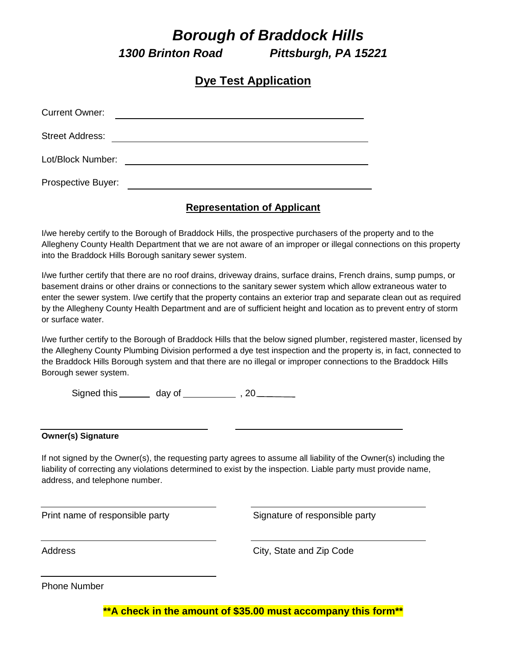# *Borough of Braddock Hills*

*1300 Brinton Road Pittsburgh, PA 15221*

## **Dye Test Application**

| <b>Current Owner:</b>  |  |
|------------------------|--|
| <b>Street Address:</b> |  |
| Lot/Block Number:      |  |
| Prospective Buyer:     |  |

### **Representation of Applicant**

I/we hereby certify to the Borough of Braddock Hills, the prospective purchasers of the property and to the Allegheny County Health Department that we are not aware of an improper or illegal connections on this property into the Braddock Hills Borough sanitary sewer system.

I/we further certify that there are no roof drains, driveway drains, surface drains, French drains, sump pumps, or basement drains or other drains or connections to the sanitary sewer system which allow extraneous water to enter the sewer system. I/we certify that the property contains an exterior trap and separate clean out as required by the Allegheny County Health Department and are of sufficient height and location as to prevent entry of storm or surface water.

I/we further certify to the Borough of Braddock Hills that the below signed plumber, registered master, licensed by the Allegheny County Plumbing Division performed a dye test inspection and the property is, in fact, connected to the Braddock Hills Borough system and that there are no illegal or improper connections to the Braddock Hills Borough sewer system.

Signed this \_\_\_\_\_\_\_ day of \_\_\_\_\_\_\_\_\_\_\_\_\_ , 20 \_\_\_\_\_\_\_\_\_

#### **Owner(s) Signature**

If not signed by the Owner(s), the requesting party agrees to assume all liability of the Owner(s) including the liability of correcting any violations determined to exist by the inspection. Liable party must provide name, address, and telephone number.

Print name of responsible party Theorem Signature of responsible party

City, State and Zip Code

Phone Number

**\*\*A check in the amount of \$35.00 must accompany this form\*\***